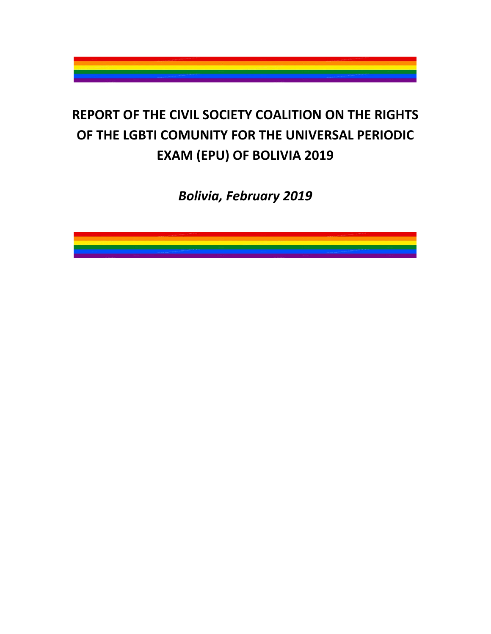

# **REPORT OF THE CIVIL SOCIETY COALITION ON THE RIGHTS OF THE LGBTI COMUNITY FOR THE UNIVERSAL PERIODIC EXAM (EPU) OF BOLIVIA 2019**

*Bolivia, February 2019*

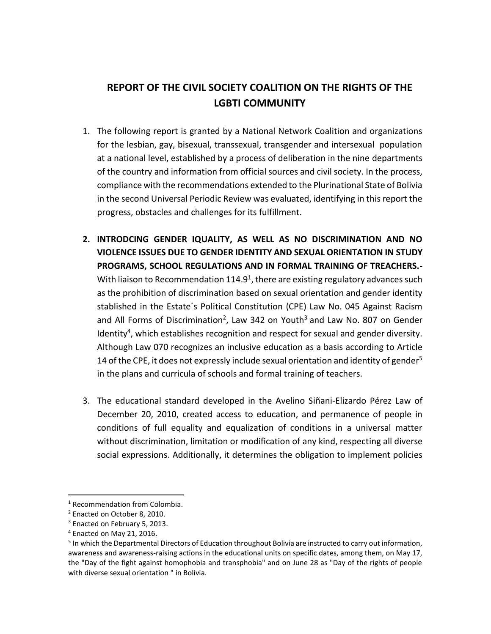## **REPORT OF THE CIVIL SOCIETY COALITION ON THE RIGHTS OF THE LGBTI COMMUNITY**

- 1. The following report is granted by a National Network Coalition and organizations for the lesbian, gay, bisexual, transsexual, transgender and intersexual population at a national level, established by a process of deliberation in the nine departments of the country and information from official sources and civil society. In the process, compliance with the recommendations extended to the Plurinational State of Bolivia in the second Universal Periodic Review was evaluated, identifying in this report the progress, obstacles and challenges for its fulfillment.
- **2. INTRODCING GENDER IQUALITY, AS WELL AS NO DISCRIMINATION AND NO VIOLENCE ISSUES DUE TO GENDER IDENTITY AND SEXUAL ORIENTATION IN STUDY PROGRAMS, SCHOOL REGULATIONS AND IN FORMAL TRAINING OF TREACHERS.-** With liaison to Recommendation  $114.9<sup>1</sup>$ , there are existing regulatory advances such as the prohibition of discrimination based on sexual orientation and gender identity stablished in the Estate´s Political Constitution (CPE) Law No. 045 Against Racism and All Forms of Discrimination<sup>2</sup>, Law 342 on Youth<sup>3</sup> and Law No. 807 on Gender Identity<sup>4</sup>, which establishes recognition and respect for sexual and gender diversity. Although Law 070 recognizes an inclusive education as a basis according to Article 14 of the CPE, it does not expressly include sexual orientation and identity of gender<sup>5</sup> in the plans and curricula of schools and formal training of teachers.
- 3. The educational standard developed in the Avelino Siñani-Elizardo Pérez Law of December 20, 2010, created access to education, and permanence of people in conditions of full equality and equalization of conditions in a universal matter without discrimination, limitation or modification of any kind, respecting all diverse social expressions. Additionally, it determines the obligation to implement policies

<sup>1</sup> Recommendation from Colombia.

<sup>2</sup> Enacted on October 8, 2010.

<sup>&</sup>lt;sup>3</sup> Enacted on February 5, 2013.

<sup>4</sup> Enacted on May 21, 2016.

<sup>&</sup>lt;sup>5</sup> In which the Departmental Directors of Education throughout Bolivia are instructed to carry out information, awareness and awareness-raising actions in the educational units on specific dates, among them, on May 17, the "Day of the fight against homophobia and transphobia" and on June 28 as "Day of the rights of people with diverse sexual orientation " in Bolivia.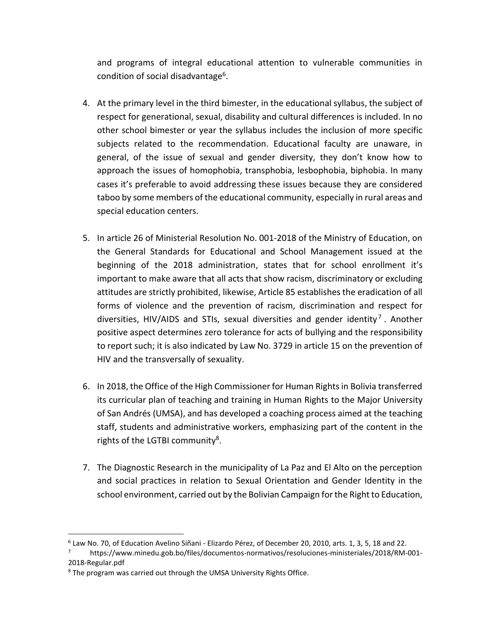and programs of integral educational attention to vulnerable communities in condition of social disadvantage<sup>6</sup>.

- 4. At the primary level in the third bimester, in the educational syllabus, the subject of respect for generational, sexual, disability and cultural differences is included. In no other school bimester or year the syllabus includes the inclusion of more specific subjects related to the recommendation. Educational faculty are unaware, in general, of the issue of sexual and gender diversity, they don't know how to approach the issues of homophobia, transphobia, lesbophobia, biphobia. In many cases it's preferable to avoid addressing these issues because they are considered taboo by some members of the educational community, especially in rural areas and special education centers.
- 5. In article 26 of Ministerial Resolution No. 001-2018 of the Ministry of Education, on the General Standards for Educational and School Management issued at the beginning of the 2018 administration, states that for school enrollment it's important to make aware that all acts that show racism, discriminatory or excluding attitudes are strictly prohibited, likewise, Article 85 establishes the eradication of all forms of violence and the prevention of racism, discrimination and respect for diversities, HIV/AIDS and STIs, sexual diversities and gender identity<sup>7</sup>. Another positive aspect determines zero tolerance for acts of bullying and the responsibility to report such; it is also indicated by Law No. 3729 in article 15 on the prevention of HIV and the transversally of sexuality.
- 6. In 2018, the Office of the High Commissioner for Human Rights in Bolivia transferred its curricular plan of teaching and training in Human Rights to the Major University of San Andrés (UMSA), and has developed a coaching process aimed at the teaching staff, students and administrative workers, emphasizing part of the content in the rights of the LGTBI community<sup>8</sup>.
- 7. The Diagnostic Research in the municipality of La Paz and El Alto on the perception and social practices in relation to Sexual Orientation and Gender Identity in the school environment, carried out by the Bolivian Campaign for the Right to Education,

<sup>6</sup> Law No. 70, of Education Avelino Siñani - Elizardo Pérez, of December 20, 2010, arts. 1, 3, 5, 18 and 22.

<sup>7</sup> https://www.minedu.gob.bo/files/documentos-normativos/resoluciones-ministeriales/2018/RM-001- 2018-Regular.pdf

<sup>8</sup> The program was carried out through the UMSA University Rights Office.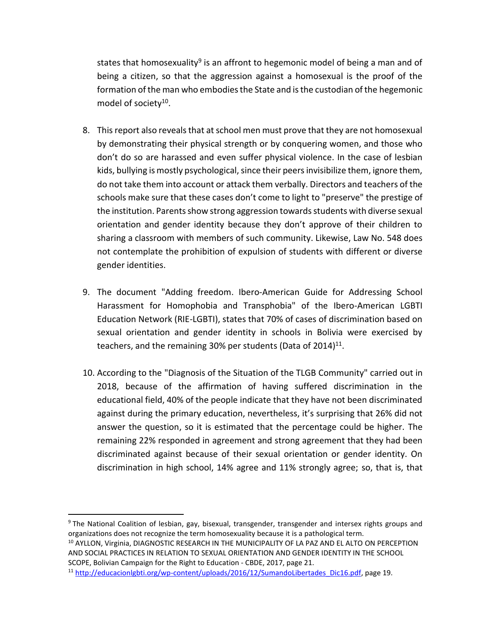states that homosexuality<sup>9</sup> is an affront to hegemonic model of being a man and of being a citizen, so that the aggression against a homosexual is the proof of the formation of the man who embodies the State and is the custodian of the hegemonic model of society<sup>10</sup>.

- 8. This report also reveals that at school men must prove that they are not homosexual by demonstrating their physical strength or by conquering women, and those who don't do so are harassed and even suffer physical violence. In the case of lesbian kids, bullying is mostly psychological, since their peers invisibilize them, ignore them, do not take them into account or attack them verbally. Directors and teachers of the schools make sure that these cases don't come to light to "preserve" the prestige of the institution. Parents show strong aggression towards students with diverse sexual orientation and gender identity because they don't approve of their children to sharing a classroom with members of such community. Likewise, Law No. 548 does not contemplate the prohibition of expulsion of students with different or diverse gender identities.
- 9. The document "Adding freedom. Ibero-American Guide for Addressing School Harassment for Homophobia and Transphobia" of the Ibero-American LGBTI Education Network (RIE-LGBTI), states that 70% of cases of discrimination based on sexual orientation and gender identity in schools in Bolivia were exercised by teachers, and the remaining 30% per students (Data of 2014)<sup>11</sup>.
- 10. According to the "Diagnosis of the Situation of the TLGB Community" carried out in 2018, because of the affirmation of having suffered discrimination in the educational field, 40% of the people indicate that they have not been discriminated against during the primary education, nevertheless, it's surprising that 26% did not answer the question, so it is estimated that the percentage could be higher. The remaining 22% responded in agreement and strong agreement that they had been discriminated against because of their sexual orientation or gender identity. On discrimination in high school, 14% agree and 11% strongly agree; so, that is, that

<sup>&</sup>lt;sup>9</sup> The National Coalition of lesbian, gay, bisexual, transgender, transgender and intersex rights groups and organizations does not recognize the term homosexuality because it is a pathological term. <sup>10</sup> AYLLON, Virginia, DIAGNOSTIC RESEARCH IN THE MUNICIPALITY OF LA PAZ AND EL ALTO ON PERCEPTION

AND SOCIAL PRACTICES IN RELATION TO SEXUAL ORIENTATION AND GENDER IDENTITY IN THE SCHOOL SCOPE, Bolivian Campaign for the Right to Education - CBDE, 2017, page 21.

<sup>11</sup> [http://educacionlgbti.org/wp-content/uploads/2016/12/SumandoLibertades\\_Dic16.pdf,](http://educacionlgbti.org/wp-content/uploads/2016/12/SumandoLibertades_Dic16.pdf) page 19.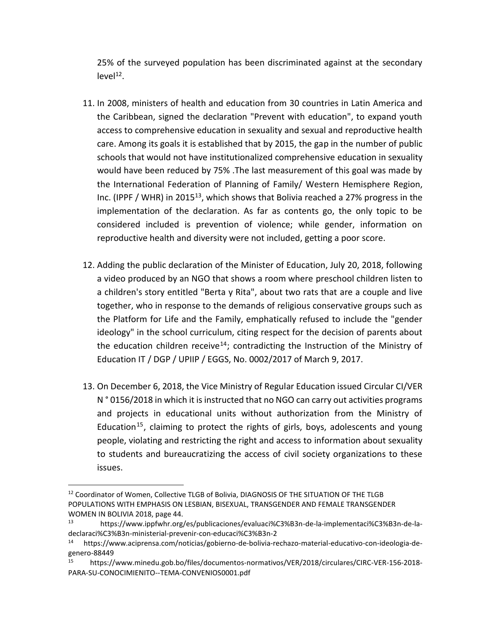25% of the surveyed population has been discriminated against at the secondary  $level<sup>12</sup>$ .

- 11. In 2008, ministers of health and education from 30 countries in Latin America and the Caribbean, signed the declaration "Prevent with education", to expand youth access to comprehensive education in sexuality and sexual and reproductive health care. Among its goals it is established that by 2015, the gap in the number of public schools that would not have institutionalized comprehensive education in sexuality would have been reduced by 75% .The last measurement of this goal was made by the International Federation of Planning of Family/ Western Hemisphere Region, Inc. (IPPF / WHR) in 2015<sup>13</sup>, which shows that Bolivia reached a 27% progress in the implementation of the declaration. As far as contents go, the only topic to be considered included is prevention of violence; while gender, information on reproductive health and diversity were not included, getting a poor score.
- 12. Adding the public declaration of the Minister of Education, July 20, 2018, following a video produced by an NGO that shows a room where preschool children listen to a children's story entitled "Berta y Rita", about two rats that are a couple and live together, who in response to the demands of religious conservative groups such as the Platform for Life and the Family, emphatically refused to include the "gender ideology" in the school curriculum, citing respect for the decision of parents about the education children receive<sup>14</sup>; contradicting the Instruction of the Ministry of Education IT / DGP / UPIIP / EGGS, No. 0002/2017 of March 9, 2017.
- 13. On December 6, 2018, the Vice Ministry of Regular Education issued Circular CI/VER N ° 0156/2018 in which it is instructed that no NGO can carry out activities programs and projects in educational units without authorization from the Ministry of Education<sup>15</sup>, claiming to protect the rights of girls, boys, adolescents and young people, violating and restricting the right and access to information about sexuality to students and bureaucratizing the access of civil society organizations to these issues.

 $\overline{a}$ <sup>12</sup> Coordinator of Women, Collective TLGB of Bolivia, DIAGNOSIS OF THE SITUATION OF THE TLGB POPULATIONS WITH EMPHASIS ON LESBIAN, BISEXUAL, TRANSGENDER AND FEMALE TRANSGENDER WOMEN IN BOLIVIA 2018, page 44.

<sup>13</sup> https://www.ippfwhr.org/es/publicaciones/evaluaci%C3%B3n-de-la-implementaci%C3%B3n-de-ladeclaraci%C3%B3n-ministerial-prevenir-con-educaci%C3%B3n-2

<sup>14</sup> https://www.aciprensa.com/noticias/gobierno-de-bolivia-rechazo-material-educativo-con-ideologia-degenero-88449

<sup>15</sup> https://www.minedu.gob.bo/files/documentos-normativos/VER/2018/circulares/CIRC-VER-156-2018- PARA-SU-CONOCIMIENITO--TEMA-CONVENIOS0001.pdf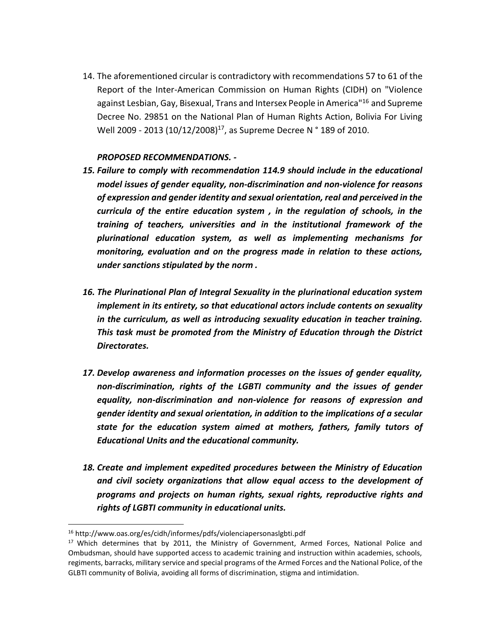14. The aforementioned circular is contradictory with recommendations 57 to 61 of the Report of the Inter-American Commission on Human Rights (CIDH) on "Violence against Lesbian, Gay, Bisexual, Trans and Intersex People in America<sup>"16</sup> and Supreme Decree No. 29851 on the National Plan of Human Rights Action, Bolivia For Living Well 2009 - 2013 (10/12/2008)<sup>17</sup>, as Supreme Decree N° 189 of 2010.

#### *PROPOSED RECOMMENDATIONS. -*

- *15. Failure to comply with recommendation 114.9 should include in the educational model issues of gender equality, non-discrimination and non-violence for reasons of expression and gender identity and sexual orientation, real and perceived in the curricula of the entire education system , in the regulation of schools, in the training of teachers, universities and in the institutional framework of the plurinational education system, as well as implementing mechanisms for monitoring, evaluation and on the progress made in relation to these actions, under sanctions stipulated by the norm .*
- *16. The Plurinational Plan of Integral Sexuality in the plurinational education system implement in its entirety, so that educational actors include contents on sexuality in the curriculum, as well as introducing sexuality education in teacher training. This task must be promoted from the Ministry of Education through the District Directorates.*
- *17. Develop awareness and information processes on the issues of gender equality, non-discrimination, rights of the LGBTI community and the issues of gender equality, non-discrimination and non-violence for reasons of expression and gender identity and sexual orientation, in addition to the implications of a secular state for the education system aimed at mothers, fathers, family tutors of Educational Units and the educational community.*
- *18. Create and implement expedited procedures between the Ministry of Education and civil society organizations that allow equal access to the development of programs and projects on human rights, sexual rights, reproductive rights and rights of LGBTI community in educational units.*

<sup>16</sup> http://www.oas.org/es/cidh/informes/pdfs/violenciapersonaslgbti.pdf

<sup>&</sup>lt;sup>17</sup> Which determines that by 2011, the Ministry of Government, Armed Forces, National Police and Ombudsman, should have supported access to academic training and instruction within academies, schools, regiments, barracks, military service and special programs of the Armed Forces and the National Police, of the GLBTI community of Bolivia, avoiding all forms of discrimination, stigma and intimidation.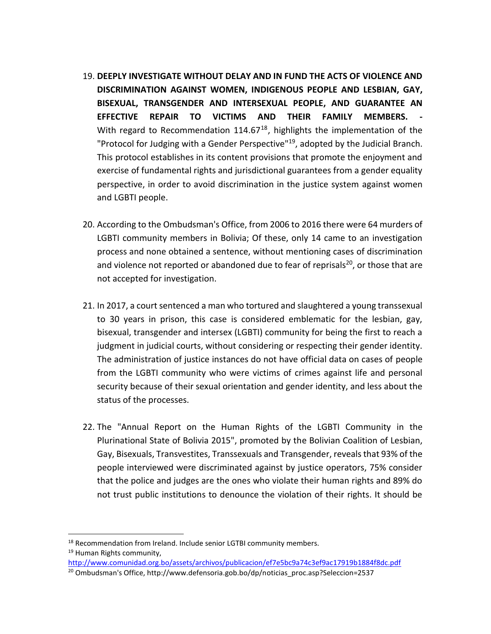- 19. **DEEPLY INVESTIGATE WITHOUT DELAY AND IN FUND THE ACTS OF VIOLENCE AND DISCRIMINATION AGAINST WOMEN, INDIGENOUS PEOPLE AND LESBIAN, GAY, BISEXUAL, TRANSGENDER AND INTERSEXUAL PEOPLE, AND GUARANTEE AN EFFECTIVE REPAIR TO VICTIMS AND THEIR FAMILY MEMBERS.** With regard to Recommendation  $114.67^{18}$ , highlights the implementation of the "Protocol for Judging with a Gender Perspective"<sup>19</sup>, adopted by the Judicial Branch. This protocol establishes in its content provisions that promote the enjoyment and exercise of fundamental rights and jurisdictional guarantees from a gender equality perspective, in order to avoid discrimination in the justice system against women and LGBTI people.
- 20. According to the Ombudsman's Office, from 2006 to 2016 there were 64 murders of LGBTI community members in Bolivia; Of these, only 14 came to an investigation process and none obtained a sentence, without mentioning cases of discrimination and violence not reported or abandoned due to fear of reprisals<sup>20</sup>, or those that are not accepted for investigation.
- 21. In 2017, a court sentenced a man who tortured and slaughtered a young transsexual to 30 years in prison, this case is considered emblematic for the lesbian, gay, bisexual, transgender and intersex (LGBTI) community for being the first to reach a judgment in judicial courts, without considering or respecting their gender identity. The administration of justice instances do not have official data on cases of people from the LGBTI community who were victims of crimes against life and personal security because of their sexual orientation and gender identity, and less about the status of the processes.
- 22. The "Annual Report on the Human Rights of the LGBTI Community in the Plurinational State of Bolivia 2015", promoted by the Bolivian Coalition of Lesbian, Gay, Bisexuals, Transvestites, Transsexuals and Transgender, reveals that 93% of the people interviewed were discriminated against by justice operators, 75% consider that the police and judges are the ones who violate their human rights and 89% do not trust public institutions to denounce the violation of their rights. It should be

 $\overline{a}$ <sup>18</sup> Recommendation from Ireland. Include senior LGTBI community members. <sup>19</sup> Human Rights community,

<http://www.comunidad.org.bo/assets/archivos/publicacion/ef7e5bc9a74c3ef9ac17919b1884f8dc.pdf>

<sup>&</sup>lt;sup>20</sup> Ombudsman's Office, http://www.defensoria.gob.bo/dp/noticias\_proc.asp?Seleccion=2537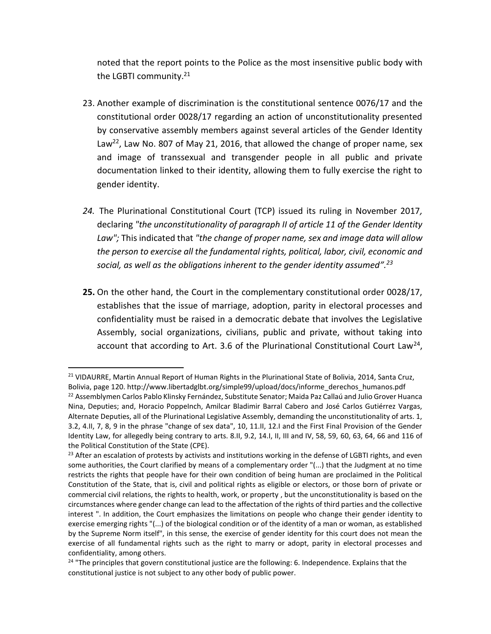noted that the report points to the Police as the most insensitive public body with the LGBTI community.<sup>21</sup>

- 23. Another example of discrimination is the constitutional sentence 0076/17 and the constitutional order 0028/17 regarding an action of unconstitutionality presented by conservative assembly members against several articles of the Gender Identity Law<sup>22</sup>, Law No. 807 of May 21, 2016, that allowed the change of proper name, sex and image of transsexual and transgender people in all public and private documentation linked to their identity, allowing them to fully exercise the right to gender identity.
- *24.* The Plurinational Constitutional Court (TCP) issued its ruling in November 2017*,*  declaring *"the unconstitutionality of paragraph II of article 11 of the Gender Identity Law";* This indicated that *"the change of proper name, sex and image data will allow the person to exercise all the fundamental rights, political, labor, civil, economic and social, as well as the obligations inherent to the gender identity assumed". 23*
- **25.** On the other hand, the Court in the complementary constitutional order 0028/17, establishes that the issue of marriage, adoption, parity in electoral processes and confidentiality must be raised in a democratic debate that involves the Legislative Assembly, social organizations, civilians, public and private, without taking into account that according to Art. 3.6 of the Plurinational Constitutional Court Law<sup>24</sup>,

<sup>&</sup>lt;sup>21</sup> VIDAURRE, Martin Annual Report of Human Rights in the Plurinational State of Bolivia, 2014, Santa Cruz, Bolivia, page 120. http://www.libertadglbt.org/simple99/upload/docs/informe\_derechos\_humanos.pdf <sup>22</sup> Assemblymen Carlos Pablo Klinsky Fernández, Substitute Senator; Maida Paz Callaú and Julio Grover Huanca Nina, Deputies; and, Horacio PoppeInch, Amilcar Bladimir Barral Cabero and José Carlos Gutiérrez Vargas, Alternate Deputies, all of the Plurinational Legislative Assembly, demanding the unconstitutionality of arts. 1, 3.2, 4.II, 7, 8, 9 in the phrase "change of sex data", 10, 11.II, 12.I and the First Final Provision of the Gender Identity Law, for allegedly being contrary to arts. 8.II, 9.2, 14.I, II, III and IV, 58, 59, 60, 63, 64, 66 and 116 of the Political Constitution of the State (CPE).

<sup>&</sup>lt;sup>23</sup> After an escalation of protests by activists and institutions working in the defense of LGBTI rights, and even some authorities, the Court clarified by means of a complementary order "(...) that the Judgment at no time restricts the rights that people have for their own condition of being human are proclaimed in the Political Constitution of the State, that is, civil and political rights as eligible or electors, or those born of private or commercial civil relations, the rights to health, work, or property , but the unconstitutionality is based on the circumstances where gender change can lead to the affectation of the rights of third parties and the collective interest ". In addition, the Court emphasizes the limitations on people who change their gender identity to exercise emerging rights "(...) of the biological condition or of the identity of a man or woman, as established by the Supreme Norm itself", in this sense, the exercise of gender identity for this court does not mean the exercise of all fundamental rights such as the right to marry or adopt, parity in electoral processes and confidentiality, among others.

<sup>&</sup>lt;sup>24</sup> "The principles that govern constitutional justice are the following: 6. Independence. Explains that the constitutional justice is not subject to any other body of public power.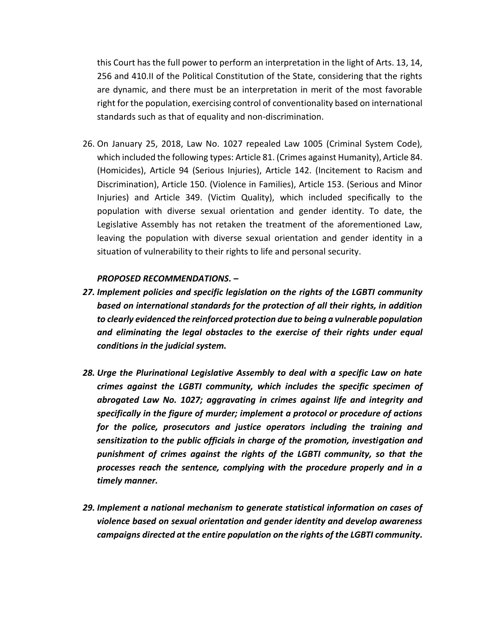this Court has the full power to perform an interpretation in the light of Arts. 13, 14, 256 and 410.II of the Political Constitution of the State, considering that the rights are dynamic, and there must be an interpretation in merit of the most favorable right for the population, exercising control of conventionality based on international standards such as that of equality and non-discrimination.

26. On January 25, 2018, Law No. 1027 repealed Law 1005 (Criminal System Code), which included the following types: Article 81. (Crimes against Humanity), Article 84. (Homicides), Article 94 (Serious Injuries), Article 142. (Incitement to Racism and Discrimination), Article 150. (Violence in Families), Article 153. (Serious and Minor Injuries) and Article 349. (Victim Quality), which included specifically to the population with diverse sexual orientation and gender identity. To date, the Legislative Assembly has not retaken the treatment of the aforementioned Law, leaving the population with diverse sexual orientation and gender identity in a situation of vulnerability to their rights to life and personal security.

#### *PROPOSED RECOMMENDATIONS. –*

- *27. Implement policies and specific legislation on the rights of the LGBTI community based on international standards for the protection of all their rights, in addition to clearly evidenced the reinforced protection due to being a vulnerable population and eliminating the legal obstacles to the exercise of their rights under equal conditions in the judicial system.*
- *28. Urge the Plurinational Legislative Assembly to deal with a specific Law on hate crimes against the LGBTI community, which includes the specific specimen of abrogated Law No. 1027; aggravating in crimes against life and integrity and specifically in the figure of murder; implement a protocol or procedure of actions for the police, prosecutors and justice operators including the training and sensitization to the public officials in charge of the promotion, investigation and punishment of crimes against the rights of the LGBTI community, so that the processes reach the sentence, complying with the procedure properly and in a timely manner.*
- *29. Implement a national mechanism to generate statistical information on cases of violence based on sexual orientation and gender identity and develop awareness campaigns directed at the entire population on the rights of the LGBTI community.*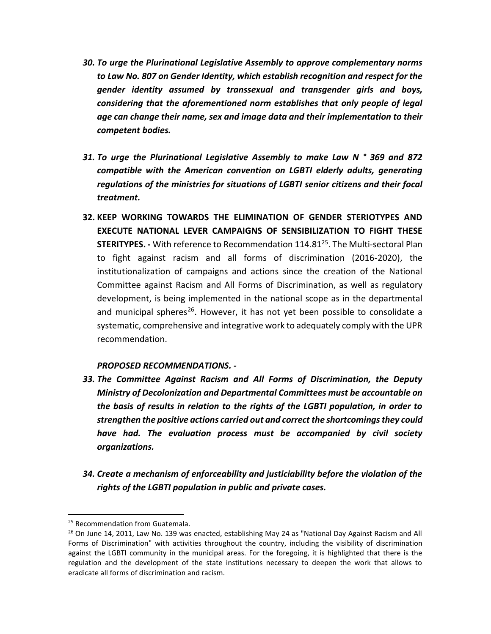- *30. To urge the Plurinational Legislative Assembly to approve complementary norms to Law No. 807 on Gender Identity, which establish recognition and respect for the gender identity assumed by transsexual and transgender girls and boys, considering that the aforementioned norm establishes that only people of legal age can change their name, sex and image data and their implementation to their competent bodies.*
- *31. To urge the Plurinational Legislative Assembly to make Law N ° 369 and 872 compatible with the American convention on LGBTI elderly adults, generating regulations of the ministries for situations of LGBTI senior citizens and their focal treatment.*
- **32. KEEP WORKING TOWARDS THE ELIMINATION OF GENDER STERIOTYPES AND EXECUTE NATIONAL LEVER CAMPAIGNS OF SENSIBILIZATION TO FIGHT THESE STERITYPES. -** With reference to Recommendation 114.81<sup>25</sup>. The Multi-sectoral Plan to fight against racism and all forms of discrimination (2016-2020), the institutionalization of campaigns and actions since the creation of the National Committee against Racism and All Forms of Discrimination, as well as regulatory development, is being implemented in the national scope as in the departmental and municipal spheres<sup>26</sup>. However, it has not yet been possible to consolidate a systematic, comprehensive and integrative work to adequately comply with the UPR recommendation.

#### *PROPOSED RECOMMENDATIONS. -*

- *33. The Committee Against Racism and All Forms of Discrimination, the Deputy Ministry of Decolonization and Departmental Committees must be accountable on the basis of results in relation to the rights of the LGBTI population, in order to strengthen the positive actions carried out and correct the shortcomings they could have had. The evaluation process must be accompanied by civil society organizations.*
- *34. Create a mechanism of enforceability and justiciability before the violation of the rights of the LGBTI population in public and private cases.*

<sup>&</sup>lt;sup>25</sup> Recommendation from Guatemala.

<sup>&</sup>lt;sup>26</sup> On June 14, 2011, Law No. 139 was enacted, establishing May 24 as "National Day Against Racism and All Forms of Discrimination" with activities throughout the country, including the visibility of discrimination against the LGBTI community in the municipal areas. For the foregoing, it is highlighted that there is the regulation and the development of the state institutions necessary to deepen the work that allows to eradicate all forms of discrimination and racism.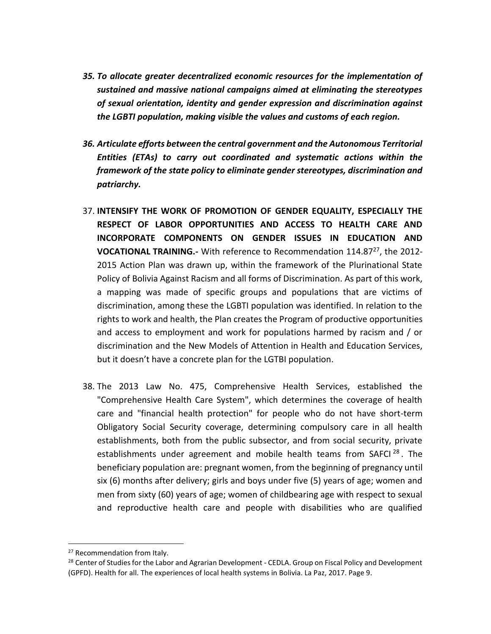- *35. To allocate greater decentralized economic resources for the implementation of sustained and massive national campaigns aimed at eliminating the stereotypes of sexual orientation, identity and gender expression and discrimination against the LGBTI population, making visible the values and customs of each region.*
- *36. Articulate efforts between the central government and the Autonomous Territorial Entities (ETAs) to carry out coordinated and systematic actions within the framework of the state policy to eliminate gender stereotypes, discrimination and patriarchy.*
- 37. **INTENSIFY THE WORK OF PROMOTION OF GENDER EQUALITY, ESPECIALLY THE RESPECT OF LABOR OPPORTUNITIES AND ACCESS TO HEALTH CARE AND INCORPORATE COMPONENTS ON GENDER ISSUES IN EDUCATION AND**  VOCATIONAL TRAINING.- With reference to Recommendation 114.87<sup>27</sup>, the 2012-2015 Action Plan was drawn up, within the framework of the Plurinational State Policy of Bolivia Against Racism and all forms of Discrimination. As part of this work, a mapping was made of specific groups and populations that are victims of discrimination, among these the LGBTI population was identified. In relation to the rights to work and health, the Plan creates the Program of productive opportunities and access to employment and work for populations harmed by racism and / or discrimination and the New Models of Attention in Health and Education Services, but it doesn't have a concrete plan for the LGTBI population.
- 38. The 2013 Law No. 475, Comprehensive Health Services, established the "Comprehensive Health Care System", which determines the coverage of health care and "financial health protection" for people who do not have short-term Obligatory Social Security coverage, determining compulsory care in all health establishments, both from the public subsector, and from social security, private establishments under agreement and mobile health teams from SAFCI $^{28}$ . The beneficiary population are: pregnant women, from the beginning of pregnancy until six (6) months after delivery; girls and boys under five (5) years of age; women and men from sixty (60) years of age; women of childbearing age with respect to sexual and reproductive health care and people with disabilities who are qualified

<sup>&</sup>lt;sup>27</sup> Recommendation from Italy.

<sup>&</sup>lt;sup>28</sup> Center of Studies for the Labor and Agrarian Development - CEDLA. Group on Fiscal Policy and Development (GPFD). Health for all. The experiences of local health systems in Bolivia. La Paz, 2017. Page 9.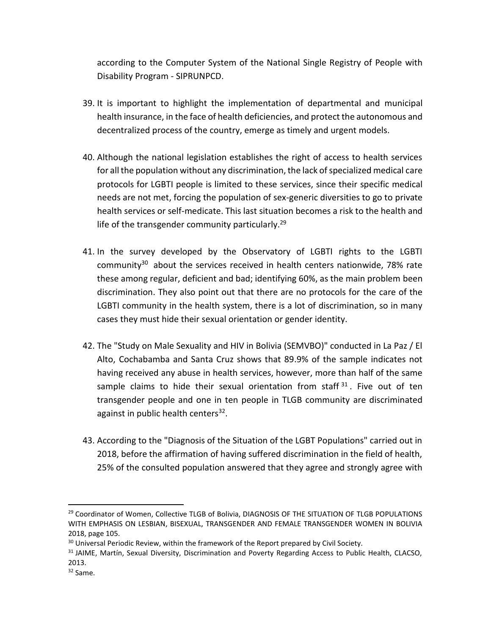according to the Computer System of the National Single Registry of People with Disability Program - SIPRUNPCD.

- 39. It is important to highlight the implementation of departmental and municipal health insurance, in the face of health deficiencies, and protect the autonomous and decentralized process of the country, emerge as timely and urgent models.
- 40. Although the national legislation establishes the right of access to health services for all the population without any discrimination, the lack of specialized medical care protocols for LGBTI people is limited to these services, since their specific medical needs are not met, forcing the population of sex-generic diversities to go to private health services or self-medicate. This last situation becomes a risk to the health and life of the transgender community particularly.<sup>29</sup>
- 41. In the survey developed by the Observatory of LGBTI rights to the LGBTI community<sup>30</sup> about the services received in health centers nationwide, 78% rate these among regular, deficient and bad; identifying 60%, as the main problem been discrimination. They also point out that there are no protocols for the care of the LGBTI community in the health system, there is a lot of discrimination, so in many cases they must hide their sexual orientation or gender identity.
- 42. The "Study on Male Sexuality and HIV in Bolivia (SEMVBO)" conducted in La Paz / El Alto, Cochabamba and Santa Cruz shows that 89.9% of the sample indicates not having received any abuse in health services, however, more than half of the same sample claims to hide their sexual orientation from staff  $31$ . Five out of ten transgender people and one in ten people in TLGB community are discriminated against in public health centers<sup>32</sup>.
- 43. According to the "Diagnosis of the Situation of the LGBT Populations" carried out in 2018, before the affirmation of having suffered discrimination in the field of health, 25% of the consulted population answered that they agree and strongly agree with

<sup>&</sup>lt;sup>29</sup> Coordinator of Women, Collective TLGB of Bolivia, DIAGNOSIS OF THE SITUATION OF TLGB POPULATIONS WITH EMPHASIS ON LESBIAN, BISEXUAL, TRANSGENDER AND FEMALE TRANSGENDER WOMEN IN BOLIVIA 2018, page 105.

<sup>&</sup>lt;sup>30</sup> Universal Periodic Review, within the framework of the Report prepared by Civil Society.

<sup>&</sup>lt;sup>31</sup> JAIME, Martín, Sexual Diversity, Discrimination and Poverty Regarding Access to Public Health, CLACSO, 2013.

<sup>32</sup> Same.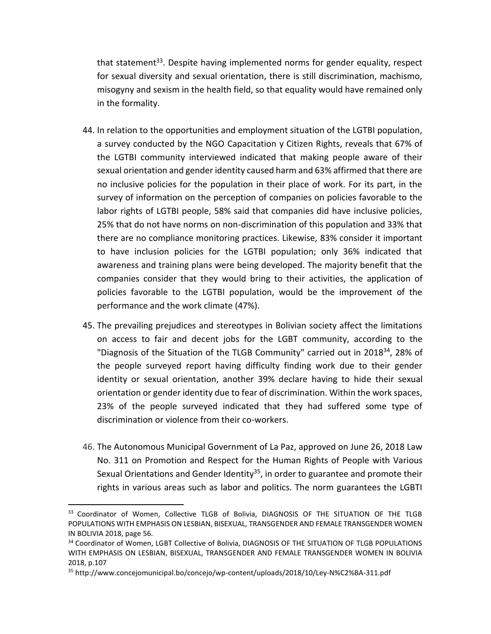that statement<sup>33</sup>. Despite having implemented norms for gender equality, respect for sexual diversity and sexual orientation, there is still discrimination, machismo, misogyny and sexism in the health field, so that equality would have remained only in the formality.

- 44. In relation to the opportunities and employment situation of the LGTBI population, a survey conducted by the NGO Capacitation y Citizen Rights, reveals that 67% of the LGTBI community interviewed indicated that making people aware of their sexual orientation and gender identity caused harm and 63% affirmed that there are no inclusive policies for the population in their place of work. For its part, in the survey of information on the perception of companies on policies favorable to the labor rights of LGTBI people, 58% said that companies did have inclusive policies, 25% that do not have norms on non-discrimination of this population and 33% that there are no compliance monitoring practices. Likewise, 83% consider it important to have inclusion policies for the LGTBI population; only 36% indicated that awareness and training plans were being developed. The majority benefit that the companies consider that they would bring to their activities, the application of policies favorable to the LGTBI population, would be the improvement of the performance and the work climate (47%).
- 45. The prevailing prejudices and stereotypes in Bolivian society affect the limitations on access to fair and decent jobs for the LGBT community, according to the "Diagnosis of the Situation of the TLGB Community" carried out in 2018<sup>34</sup>, 28% of the people surveyed report having difficulty finding work due to their gender identity or sexual orientation, another 39% declare having to hide their sexual orientation or gender identity due to fear of discrimination. Within the work spaces, 23% of the people surveyed indicated that they had suffered some type of discrimination or violence from their co-workers.
- 46. The Autonomous Municipal Government of La Paz, approved on June 26, 2018 Law No. 311 on Promotion and Respect for the Human Rights of People with Various Sexual Orientations and Gender Identity<sup>35</sup>, in order to guarantee and promote their rights in various areas such as labor and politics. The norm guarantees the LGBTI

<sup>&</sup>lt;sup>33</sup> Coordinator of Women, Collective TLGB of Bolivia, DIAGNOSIS OF THE SITUATION OF THE TLGB POPULATIONS WITH EMPHASIS ON LESBIAN, BISEXUAL, TRANSGENDER AND FEMALE TRANSGENDER WOMEN IN BOLIVIA 2018, page 56.

<sup>34</sup> Coordinator of Women, LGBT Collective of Bolivia, DIAGNOSIS OF THE SITUATION OF TLGB POPULATIONS WITH EMPHASIS ON LESBIAN, BISEXUAL, TRANSGENDER AND FEMALE TRANSGENDER WOMEN IN BOLIVIA 2018, p.107

<sup>35</sup> http://www.concejomunicipal.bo/concejo/wp-content/uploads/2018/10/Ley-N%C2%BA-311.pdf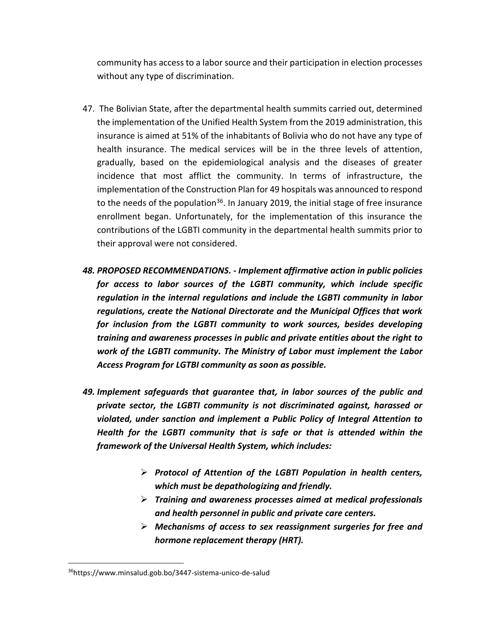community has access to a labor source and their participation in election processes without any type of discrimination.

- 47. The Bolivian State, after the departmental health summits carried out, determined the implementation of the Unified Health System from the 2019 administration, this insurance is aimed at 51% of the inhabitants of Bolivia who do not have any type of health insurance. The medical services will be in the three levels of attention, gradually, based on the epidemiological analysis and the diseases of greater incidence that most afflict the community. In terms of infrastructure, the implementation of the Construction Plan for 49 hospitals was announced to respond to the needs of the population<sup>36</sup>. In January 2019, the initial stage of free insurance enrollment began. Unfortunately, for the implementation of this insurance the contributions of the LGBTI community in the departmental health summits prior to their approval were not considered.
- *48. PROPOSED RECOMMENDATIONS. - Implement affirmative action in public policies for access to labor sources of the LGBTI community, which include specific regulation in the internal regulations and include the LGBTI community in labor regulations, create the National Directorate and the Municipal Offices that work for inclusion from the LGBTI community to work sources, besides developing training and awareness processes in public and private entities about the right to work of the LGBTI community. The Ministry of Labor must implement the Labor Access Program for LGTBI community as soon as possible.*
- *49. Implement safeguards that guarantee that, in labor sources of the public and private sector, the LGBTI community is not discriminated against, harassed or violated, under sanction and implement a Public Policy of Integral Attention to Health for the LGBTI community that is safe or that is attended within the framework of the Universal Health System, which includes:*
	- *Protocol of Attention of the LGBTI Population in health centers, which must be depathologizing and friendly.*
	- *Training and awareness processes aimed at medical professionals and health personnel in public and private care centers.*
	- *Mechanisms of access to sex reassignment surgeries for free and hormone replacement therapy (HRT).*

<sup>36</sup>https://www.minsalud.gob.bo/3447-sistema-unico-de-salud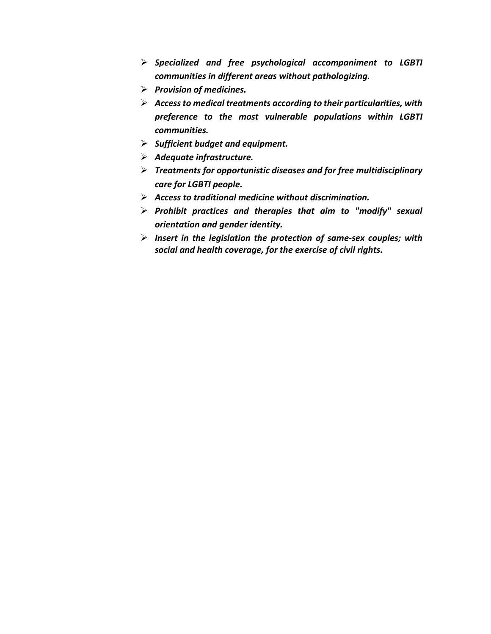- *Specialized and free psychological accompaniment to LGBTI communities in different areas without pathologizing.*
- *Provision of medicines.*
- *Access to medical treatments according to their particularities, with preference to the most vulnerable populations within LGBTI communities.*
- *Sufficient budget and equipment.*
- *Adequate infrastructure.*
- *Treatments for opportunistic diseases and for free multidisciplinary care for LGBTI people.*
- *Access to traditional medicine without discrimination.*
- *Prohibit practices and therapies that aim to "modify" sexual orientation and gender identity.*
- *Insert in the legislation the protection of same-sex couples; with social and health coverage, for the exercise of civil rights.*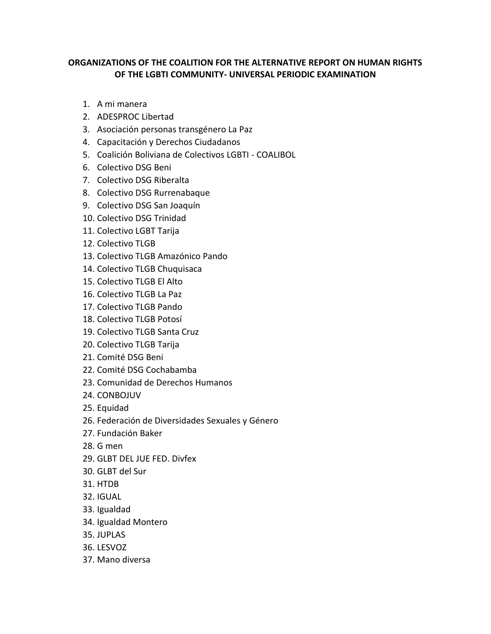### **ORGANIZATIONS OF THE COALITION FOR THE ALTERNATIVE REPORT ON HUMAN RIGHTS OF THE LGBTI COMMUNITY- UNIVERSAL PERIODIC EXAMINATION**

- 1. A mi manera
- 2. ADESPROC Libertad
- 3. Asociación personas transgénero La Paz
- 4. Capacitación y Derechos Ciudadanos
- 5. Coalición Boliviana de Colectivos LGBTI COALIBOL
- 6. Colectivo DSG Beni
- 7. Colectivo DSG Riberalta
- 8. Colectivo DSG Rurrenabaque
- 9. Colectivo DSG San Joaquín
- 10. Colectivo DSG Trinidad
- 11. Colectivo LGBT Tarija
- 12. Colectivo TLGB
- 13. Colectivo TLGB Amazónico Pando
- 14. Colectivo TLGB Chuquisaca
- 15. Colectivo TLGB El Alto
- 16. Colectivo TLGB La Paz
- 17. Colectivo TLGB Pando
- 18. Colectivo TLGB Potosí
- 19. Colectivo TLGB Santa Cruz
- 20. Colectivo TLGB Tarija
- 21. Comité DSG Beni
- 22. Comité DSG Cochabamba
- 23. Comunidad de Derechos Humanos
- 24. CONBOJUV
- 25. Equidad
- 26. Federación de Diversidades Sexuales y Género
- 27. Fundación Baker
- 28. G men
- 29. GLBT DEL JUE FED. Divfex
- 30. GLBT del Sur
- 31. HTDB
- 32. IGUAL
- 33. Igualdad
- 34. Igualdad Montero
- 35. JUPLAS
- 36. LESVOZ
- 37. Mano diversa